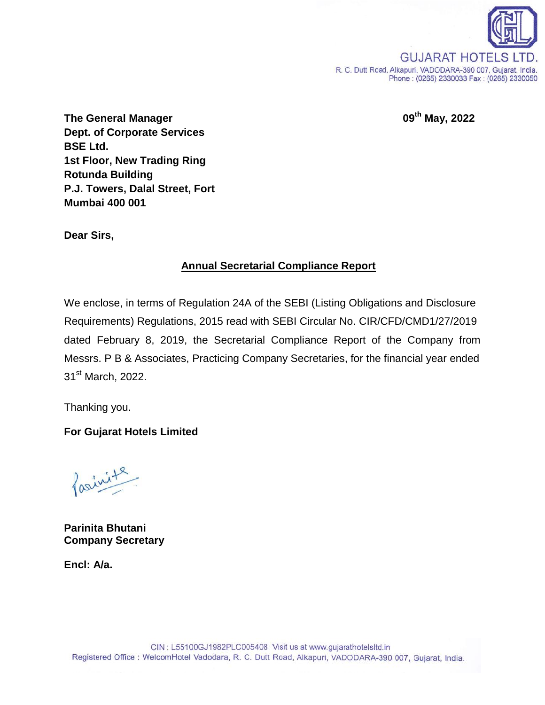

**The General Manager 09th May, 2022 Dept. of Corporate Services BSE Ltd. 1st Floor, New Trading Ring Rotunda Building P.J. Towers, Dalal Street, Fort Mumbai 400 001**

**Dear Sirs,**

## **Annual Secretarial Compliance Report**

We enclose, in terms of Regulation 24A of the SEBI (Listing Obligations and Disclosure Requirements) Regulations, 2015 read with SEBI Circular No. CIR/CFD/CMD1/27/2019 dated February 8, 2019, the Secretarial Compliance Report of the Company from Messrs. P B & Associates, Practicing Company Secretaries, for the financial year ended 31<sup>st</sup> March, 2022.

Thanking you.

## **For Gujarat Hotels Limited**

farinite

**Parinita Bhutani Company Secretary**

**Encl: A/a.**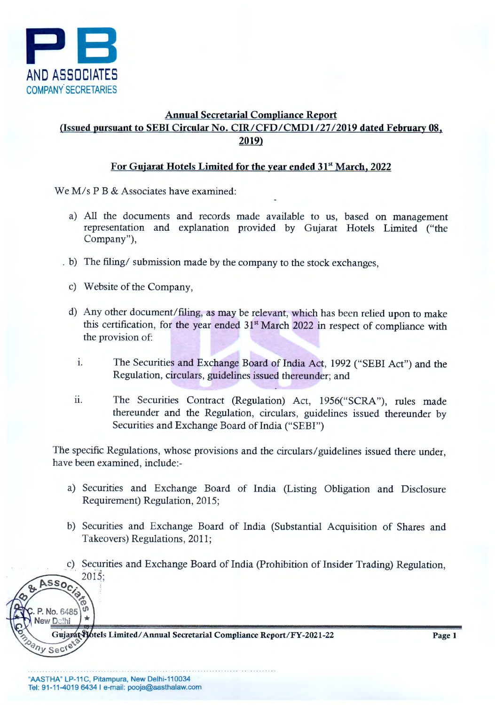

## Annual Secretarial Compliance Report (Issued pursuant to SEBI Circular No. CIR/CFD/CMDI/27 /2019 dated February 08, 2019)

## For Gujarat Hotels Limited for the year ended 31<sup>st</sup> March, 2022

We M/s P B & Associates have examined:

- a) All the documents and records made available to us, based on management representation and explanation provided by Gujarat Hotels Limited ("the Company"),
- . b) The filing/ submission made by the company to the stock exchanges,
	- c) Website of the Company,
	- d) Any other document/filing, as may be relevant, which has been relied upon to make this certification, for the year ended  $31<sup>st</sup>$  March 2022 in respect of compliance with the provision of:
		- 1. The Securities and Exchange Board of India Act, 1992 ("SEBI Act") and the Regulation, circulars, guidelines issued thereunder; and
		- ii. The Securities Contract (Regulation) Act, 1956("SCRA"), rules made thereunder and the Regulation, circulars, guidelines issued thereunder by Securities and Exchange Board of India ("SEBI")

The specific Regulations, whose provisions and the circulars/ guidelines issued there under, have been examined, include:-

- a) Securities and Exchange Board of India (Listing Obligation and Disclosure Requirement) Regulation, 2015;
- b) Securities and Exchange Board of India (Substantial Acquisition of Shares and Takeovers) Regulations, 2011;
- c) Securities and Exchange Board of India (Prohibition of Insider Trading) Regulation,  $2015:$ Assoc

Gujarat Hotels Limited/Annual Secretarial Compliance Report/FY-2021-22

Sec